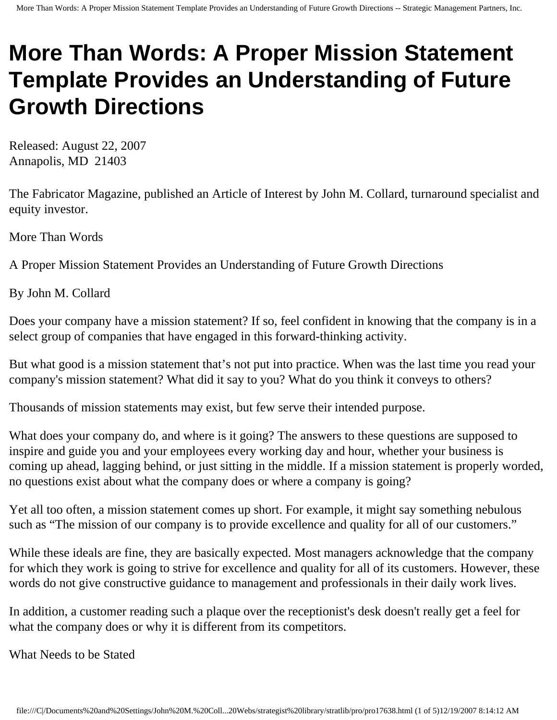## **More Than Words: A Proper Mission Statement Template Provides an Understanding of Future Growth Directions**

Released: August 22, 2007 Annapolis, MD 21403

The Fabricator Magazine, published an Article of Interest by John M. Collard, turnaround specialist and equity investor.

More Than Words

A Proper Mission Statement Provides an Understanding of Future Growth Directions

By John M. Collard

Does your company have a mission statement? If so, feel confident in knowing that the company is in a select group of companies that have engaged in this forward-thinking activity.

But what good is a mission statement that's not put into practice. When was the last time you read your company's mission statement? What did it say to you? What do you think it conveys to others?

Thousands of mission statements may exist, but few serve their intended purpose.

What does your company do, and where is it going? The answers to these questions are supposed to inspire and guide you and your employees every working day and hour, whether your business is coming up ahead, lagging behind, or just sitting in the middle. If a mission statement is properly worded, no questions exist about what the company does or where a company is going?

Yet all too often, a mission statement comes up short. For example, it might say something nebulous such as "The mission of our company is to provide excellence and quality for all of our customers."

While these ideals are fine, they are basically expected. Most managers acknowledge that the company for which they work is going to strive for excellence and quality for all of its customers. However, these words do not give constructive guidance to management and professionals in their daily work lives.

In addition, a customer reading such a plaque over the receptionist's desk doesn't really get a feel for what the company does or why it is different from its competitors.

What Needs to be Stated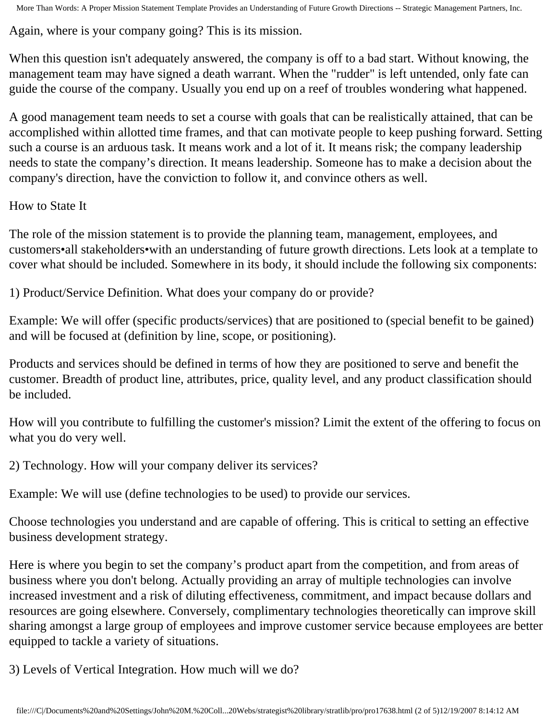More Than Words: A Proper Mission Statement Template Provides an Understanding of Future Growth Directions -- Strategic Management Partners, Inc.

Again, where is your company going? This is its mission.

When this question isn't adequately answered, the company is off to a bad start. Without knowing, the management team may have signed a death warrant. When the "rudder" is left untended, only fate can guide the course of the company. Usually you end up on a reef of troubles wondering what happened.

A good management team needs to set a course with goals that can be realistically attained, that can be accomplished within allotted time frames, and that can motivate people to keep pushing forward. Setting such a course is an arduous task. It means work and a lot of it. It means risk; the company leadership needs to state the company's direction. It means leadership. Someone has to make a decision about the company's direction, have the conviction to follow it, and convince others as well.

How to State It

The role of the mission statement is to provide the planning team, management, employees, and customers•all stakeholders•with an understanding of future growth directions. Lets look at a template to cover what should be included. Somewhere in its body, it should include the following six components:

1) Product/Service Definition. What does your company do or provide?

Example: We will offer (specific products/services) that are positioned to (special benefit to be gained) and will be focused at (definition by line, scope, or positioning).

Products and services should be defined in terms of how they are positioned to serve and benefit the customer. Breadth of product line, attributes, price, quality level, and any product classification should be included.

How will you contribute to fulfilling the customer's mission? Limit the extent of the offering to focus on what you do very well.

2) Technology. How will your company deliver its services?

Example: We will use (define technologies to be used) to provide our services.

Choose technologies you understand and are capable of offering. This is critical to setting an effective business development strategy.

Here is where you begin to set the company's product apart from the competition, and from areas of business where you don't belong. Actually providing an array of multiple technologies can involve increased investment and a risk of diluting effectiveness, commitment, and impact because dollars and resources are going elsewhere. Conversely, complimentary technologies theoretically can improve skill sharing amongst a large group of employees and improve customer service because employees are better equipped to tackle a variety of situations.

3) Levels of Vertical Integration. How much will we do?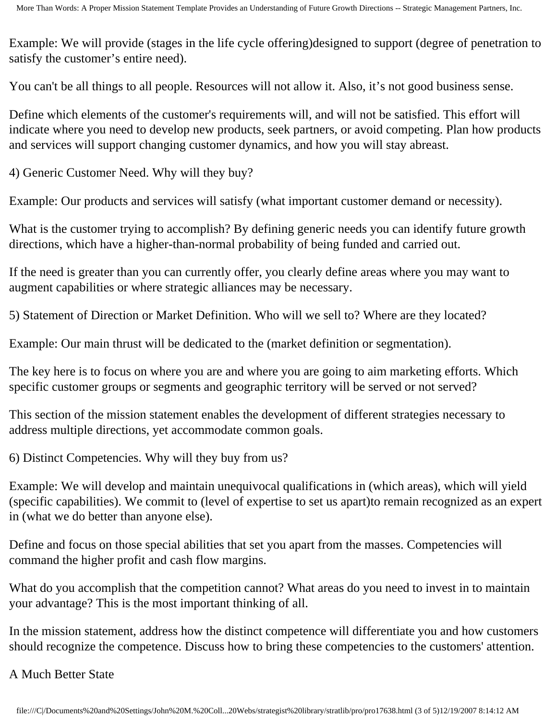Example: We will provide (stages in the life cycle offering)designed to support (degree of penetration to satisfy the customer's entire need).

You can't be all things to all people. Resources will not allow it. Also, it's not good business sense.

Define which elements of the customer's requirements will, and will not be satisfied. This effort will indicate where you need to develop new products, seek partners, or avoid competing. Plan how products and services will support changing customer dynamics, and how you will stay abreast.

4) Generic Customer Need. Why will they buy?

Example: Our products and services will satisfy (what important customer demand or necessity).

What is the customer trying to accomplish? By defining generic needs you can identify future growth directions, which have a higher-than-normal probability of being funded and carried out.

If the need is greater than you can currently offer, you clearly define areas where you may want to augment capabilities or where strategic alliances may be necessary.

5) Statement of Direction or Market Definition. Who will we sell to? Where are they located?

Example: Our main thrust will be dedicated to the (market definition or segmentation).

The key here is to focus on where you are and where you are going to aim marketing efforts. Which specific customer groups or segments and geographic territory will be served or not served?

This section of the mission statement enables the development of different strategies necessary to address multiple directions, yet accommodate common goals.

6) Distinct Competencies. Why will they buy from us?

Example: We will develop and maintain unequivocal qualifications in (which areas), which will yield (specific capabilities). We commit to (level of expertise to set us apart)to remain recognized as an expert in (what we do better than anyone else).

Define and focus on those special abilities that set you apart from the masses. Competencies will command the higher profit and cash flow margins.

What do you accomplish that the competition cannot? What areas do you need to invest in to maintain your advantage? This is the most important thinking of all.

In the mission statement, address how the distinct competence will differentiate you and how customers should recognize the competence. Discuss how to bring these competencies to the customers' attention.

A Much Better State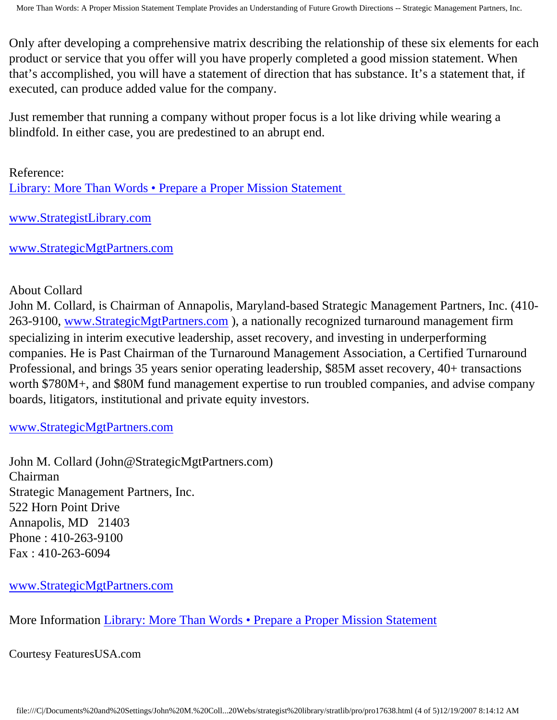Only after developing a comprehensive matrix describing the relationship of these six elements for each product or service that you offer will you have properly completed a good mission statement. When that's accomplished, you will have a statement of direction that has substance. It's a statement that, if executed, can produce added value for the company.

Just remember that running a company without proper focus is a lot like driving while wearing a blindfold. In either case, you are predestined to an abrupt end.

Reference: [Library: More Than Words • Prepare a Proper Mission Statement](http://members.aol.com/stratlib3/fmawords.html)

[www.StrategistLibrary.com](http://www.strategistlibrary.com/)

[www.StrategicMgtPartners.com](http://www.strategicmgtpartners.com/)

## About Collard

John M. Collard, is Chairman of Annapolis, Maryland-based Strategic Management Partners, Inc. (410- 263-9100, [www.StrategicMgtPartners.com](http://www.strategicmgtpartners.com/) ), a nationally recognized turnaround management firm specializing in interim executive leadership, asset recovery, and investing in underperforming companies. He is Past Chairman of the Turnaround Management Association, a Certified Turnaround Professional, and brings 35 years senior operating leadership, \$85M asset recovery, 40+ transactions worth \$780M+, and \$80M fund management expertise to run troubled companies, and advise company boards, litigators, institutional and private equity investors.

## [www.StrategicMgtPartners.com](http://www.strategicmgtpartners.com/)

John M. Collard (John@StrategicMgtPartners.com) Chairman Strategic Management Partners, Inc. 522 Horn Point Drive Annapolis, MD 21403 Phone : 410-263-9100 Fax : 410-263-6094

[www.StrategicMgtPartners.com](http://www.strategicmgtpartners.com/)

More Information [Library: More Than Words • Prepare a Proper Mission Statement](http://members.aol.com/stratlib3/fmawords.html)

Courtesy FeaturesUSA.com